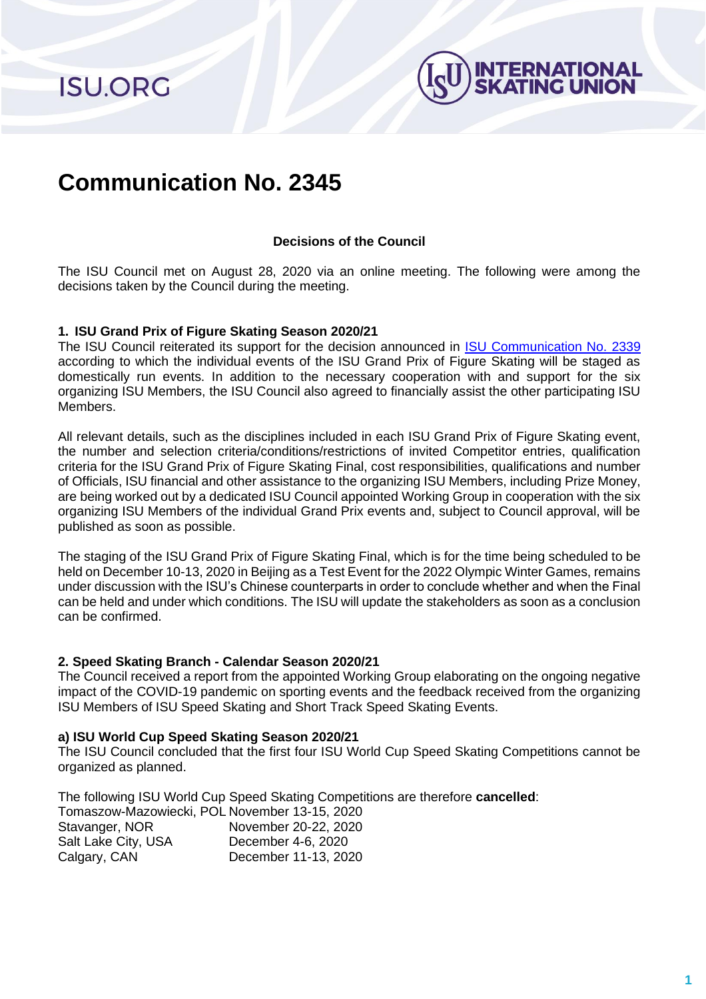**ISU.ORG** 



# **Communication No. 2345**

# **Decisions of the Council**

The ISU Council met on August 28, 2020 via an online meeting. The following were among the decisions taken by the Council during the meeting.

#### **1. ISU Grand Prix of Figure Skating Season 2020/21**

The ISU Council reiterated its support for the decision announced in [ISU Communication No. 2339](https://www.isu.org/inside-isu/isu-communications/communications/24837-decisions-of-council-meeting-august-3-2020/file) according to which the individual events of the ISU Grand Prix of Figure Skating will be staged as domestically run events. In addition to the necessary cooperation with and support for the six organizing ISU Members, the ISU Council also agreed to financially assist the other participating ISU Members.

All relevant details, such as the disciplines included in each ISU Grand Prix of Figure Skating event, the number and selection criteria/conditions/restrictions of invited Competitor entries, qualification criteria for the ISU Grand Prix of Figure Skating Final, cost responsibilities, qualifications and number of Officials, ISU financial and other assistance to the organizing ISU Members, including Prize Money, are being worked out by a dedicated ISU Council appointed Working Group in cooperation with the six organizing ISU Members of the individual Grand Prix events and, subject to Council approval, will be published as soon as possible.

The staging of the ISU Grand Prix of Figure Skating Final, which is for the time being scheduled to be held on December 10-13, 2020 in Beijing as a Test Event for the 2022 Olympic Winter Games, remains under discussion with the ISU's Chinese counterparts in order to conclude whether and when the Final can be held and under which conditions. The ISU will update the stakeholders as soon as a conclusion can be confirmed.

#### **2. Speed Skating Branch - Calendar Season 2020/21**

The Council received a report from the appointed Working Group elaborating on the ongoing negative impact of the COVID-19 pandemic on sporting events and the feedback received from the organizing ISU Members of ISU Speed Skating and Short Track Speed Skating Events.

## **a) ISU World Cup Speed Skating Season 2020/21**

The ISU Council concluded that the first four ISU World Cup Speed Skating Competitions cannot be organized as planned.

The following ISU World Cup Speed Skating Competitions are therefore **cancelled**:

| Tomaszow-Mazowiecki, POL November 13-15, 2020 |                      |
|-----------------------------------------------|----------------------|
| Stavanger, NOR                                | November 20-22, 2020 |
| Salt Lake City, USA                           | December 4-6, 2020   |
| Calgary, CAN                                  | December 11-13, 2020 |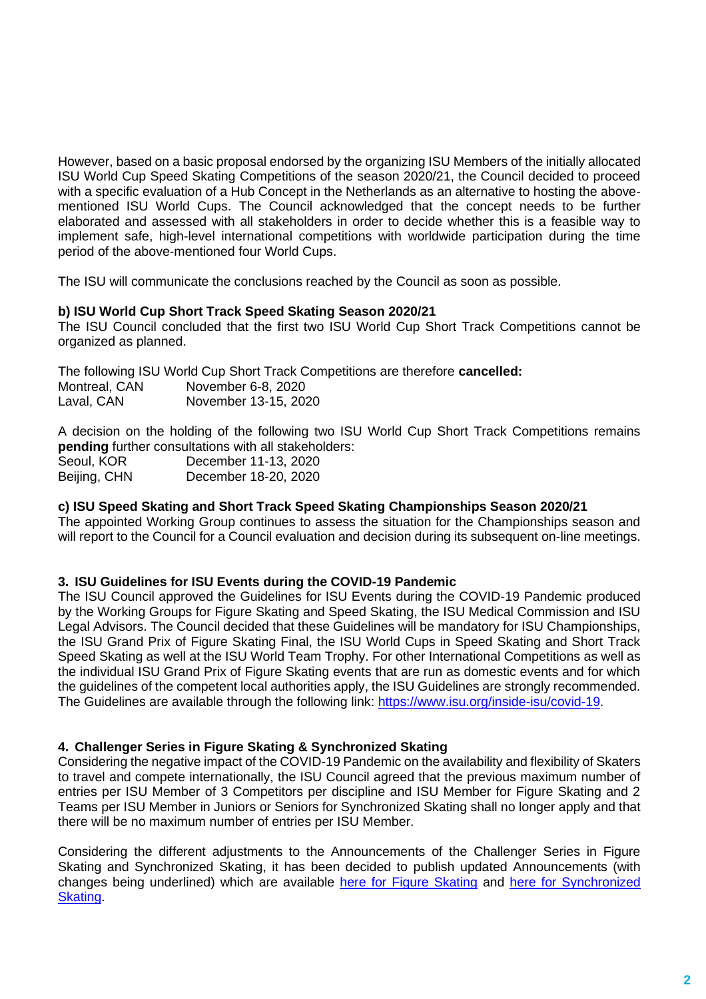However, based on a basic proposal endorsed by the organizing ISU Members of the initially allocated ISU World Cup Speed Skating Competitions of the season 2020/21, the Council decided to proceed with a specific evaluation of a Hub Concept in the Netherlands as an alternative to hosting the abovementioned ISU World Cups. The Council acknowledged that the concept needs to be further elaborated and assessed with all stakeholders in order to decide whether this is a feasible way to implement safe, high-level international competitions with worldwide participation during the time period of the above-mentioned four World Cups.

The ISU will communicate the conclusions reached by the Council as soon as possible.

## **b) ISU World Cup Short Track Speed Skating Season 2020/21**

The ISU Council concluded that the first two ISU World Cup Short Track Competitions cannot be organized as planned.

The following ISU World Cup Short Track Competitions are therefore **cancelled:** Montreal, CAN November 6-8, 2020 Laval, CAN November 13-15, 2020

A decision on the holding of the following two ISU World Cup Short Track Competitions remains **pending** further consultations with all stakeholders:

| Seoul, KOR   | December 11-13, 2020 |
|--------------|----------------------|
| Beijing, CHN | December 18-20, 2020 |

## **c) ISU Speed Skating and Short Track Speed Skating Championships Season 2020/21**

The appointed Working Group continues to assess the situation for the Championships season and will report to the Council for a Council evaluation and decision during its subsequent on-line meetings.

## **3. ISU Guidelines for ISU Events during the COVID-19 Pandemic**

The ISU Council approved the Guidelines for ISU Events during the COVID-19 Pandemic produced by the Working Groups for Figure Skating and Speed Skating, the ISU Medical Commission and ISU Legal Advisors. The Council decided that these Guidelines will be mandatory for ISU Championships, the ISU Grand Prix of Figure Skating Final, the ISU World Cups in Speed Skating and Short Track Speed Skating as well at the ISU World Team Trophy. For other International Competitions as well as the individual ISU Grand Prix of Figure Skating events that are run as domestic events and for which the guidelines of the competent local authorities apply, the ISU Guidelines are strongly recommended. The Guidelines are available through the following link: [https://www.isu.org/inside-isu/covid-19.](https://www.isu.org/inside-isu/covid-19)

#### **4. Challenger Series in Figure Skating & Synchronized Skating**

Considering the negative impact of the COVID-19 Pandemic on the availability and flexibility of Skaters to travel and compete internationally, the ISU Council agreed that the previous maximum number of entries per ISU Member of 3 Competitors per discipline and ISU Member for Figure Skating and 2 Teams per ISU Member in Juniors or Seniors for Synchronized Skating shall no longer apply and that there will be no maximum number of entries per ISU Member.

Considering the different adjustments to the Announcements of the Challenger Series in Figure Skating and Synchronized Skating, it has been decided to publish updated Announcements (with changes being underlined) which are available [here for Figure Skating](https://isu.org/docman-documents-links/isu-files/event-documents/figure-skating-4/2020-21/challenger-series-13/series-files-32/24358-cs2020-21-general-announcement-200520/file) and here [for Synchronized](https://isu.org/docman-documents-links/isu-files/event-documents/synchronized-skating-4/2020-21-2/challenger-series-14/series-files-34/24836-general-announcement-1/file)  [Skating.](https://isu.org/docman-documents-links/isu-files/event-documents/synchronized-skating-4/2020-21-2/challenger-series-14/series-files-34/24836-general-announcement-1/file)